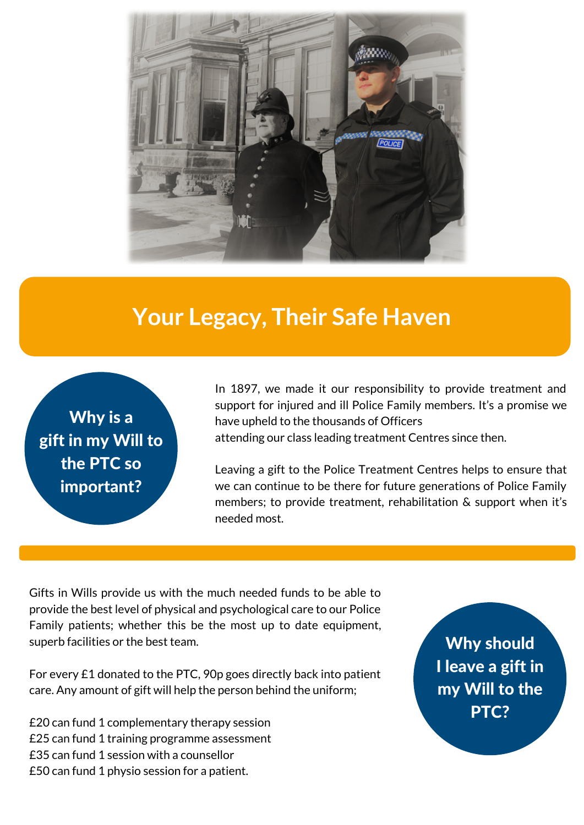

## **Your Legacy, Their Safe Haven**

Why is a gift in my Will to the PTC so important?

In 1897, we made it our responsibility to provide treatment and support for injured and ill Police Family members. It's a promise we have upheld to the thousands of Officers attending our class leading treatment Centres since then.

Leaving a gift to the Police Treatment Centres helps to ensure that we can continue to be there for future generations of Police Family members; to provide treatment, rehabilitation & support when it's needed most.

Gifts in Wills provide us with the much needed funds to be able to provide the best level of physical and psychological care to our Police Family patients; whether this be the most up to date equipment, superb facilities or the best team.

For every £1 donated to the PTC, 90p goes directly back into patient care. Any amount of gift will help the person behind the uniform;

£20 can fund 1 complementary therapy session £25 can fund 1 training programme assessment £35 can fund 1 session with a counsellor £50 can fund 1 physio session for a patient.

Why should I leave a gift in my Will to the PTC?